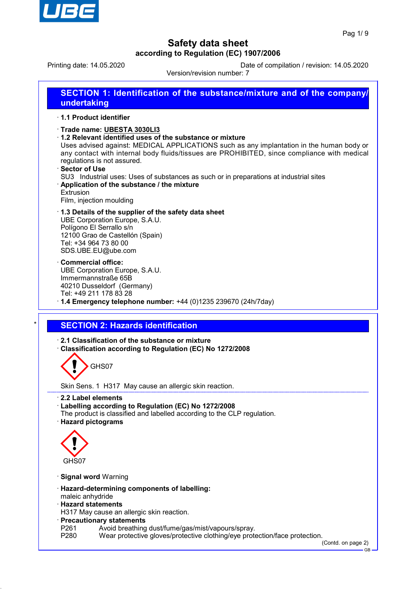

Printing date: 14.05.2020 Date of compilation / revision: 14.05.2020

Version/revision number: 7

| SECTION 1: Identification of the substance/mixture and of the company/<br>undertaking                                                                                                                                                                                                                                                                                                                                                 |
|---------------------------------------------------------------------------------------------------------------------------------------------------------------------------------------------------------------------------------------------------------------------------------------------------------------------------------------------------------------------------------------------------------------------------------------|
| <b>1.1 Product identifier</b>                                                                                                                                                                                                                                                                                                                                                                                                         |
| Trade name: UBESTA 3030LI3<br>$\cdot$ 1.2 Relevant identified uses of the substance or mixture<br>Uses advised against: MEDICAL APPLICATIONS such as any implantation in the human body or<br>any contact with internal body fluids/tissues are PROHIBITED, since compliance with medical<br>regulations is not assured.<br>⋅ Sector of Use<br>SU3 Industrial uses: Uses of substances as such or in preparations at industrial sites |
| Application of the substance / the mixture<br>Extrusion<br>Film, injection moulding                                                                                                                                                                                                                                                                                                                                                   |
| 1.3 Details of the supplier of the safety data sheet<br>UBE Corporation Europe, S.A.U.                                                                                                                                                                                                                                                                                                                                                |

UBE Corporation Europe, S.A.U. Polígono El Serrallo s/n 12100 Grao de Castellón (Spain) Tel: +34 964 73 80 00 SDS.UBE.EU@ube.com

- · **Commercial office:** UBE Corporation Europe, S.A.U. Immermannstraße 65B 40210 Dusseldorf (Germany) Tel: +49 211 178 83 28
- · **1.4 Emergency telephone number:** +44 (0)1235 239670 (24h/7day)

## **SECTION 2: Hazards identification**

· **2.1 Classification of the substance or mixture** · **Classification according to Regulation (EC) No 1272/2008**

GHS07

Skin Sens. 1 H317 May cause an allergic skin reaction.

- · **2.2 Label elements**
- · **Labelling according to Regulation (EC) No 1272/2008**
- The product is classified and labelled according to the CLP regulation.
- · **Hazard pictograms**



- · **Signal word** Warning
- · **Hazard-determining components of labelling:**
- maleic anhydride
- · **Hazard statements**
- H317 May cause an allergic skin reaction.
- · **Precautionary statements**
- P261 Avoid breathing dust/fume/gas/mist/vapours/spray.<br>P280 Wear protective gloves/protective clothing/eye prote
- Wear protective gloves/protective clothing/eye protection/face protection.

(Contd. on page 2) GB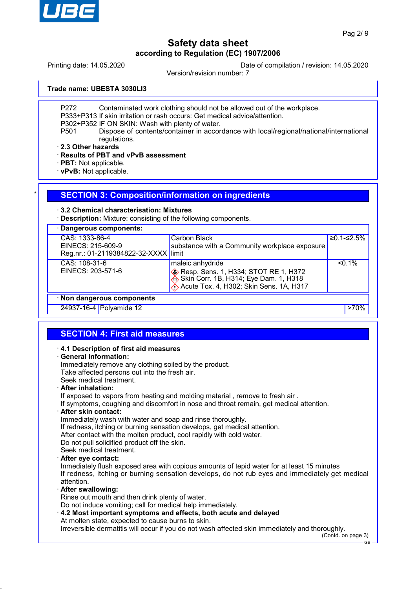

Printing date: 14.05.2020 Date of compilation / revision: 14.05.2020

Version/revision number: 7

**Trade name: UBESTA 3030LI3**

P272 Contaminated work clothing should not be allowed out of the workplace.

P333+P313 If skin irritation or rash occurs: Get medical advice/attention.

P302+P352 IF ON SKIN: Wash with plenty of water.

P501 Dispose of contents/container in accordance with local/regional/national/international regulations.

· **2.3 Other hazards**

· **Results of PBT and vPvB assessment**

· **PBT:** Not applicable.

· **vPvB:** Not applicable.

### **SECTION 3: Composition/information on ingredients**

### · **3.2 Chemical characterisation: Mixtures**

· **Description:** Mixture: consisting of the following components.

| · Dangerous components:                                                     |                                                                                                                                                           |              |  |
|-----------------------------------------------------------------------------|-----------------------------------------------------------------------------------------------------------------------------------------------------------|--------------|--|
| CAS: 1333-86-4<br>EINECS: 215-609-9<br>Reg.nr.: 01-2119384822-32-XXXX limit | Carbon Black<br>substance with a Community workplace exposure                                                                                             | $≥0.1-S2.5%$ |  |
| CAS: 108-31-6<br>EINECS: 203-571-6                                          | maleic anhydride<br><b>&amp; Resp. Sens. 1, H334; STOT RE 1, H372</b><br>Skin Corr. 1B, H314; Eye Dam. 1, H318<br>Acute Tox. 4, H302; Skin Sens. 1A, H317 | $< 0.1\%$    |  |
| · Non dangerous components                                                  |                                                                                                                                                           |              |  |
| 24937-16-4 Polyamide 12                                                     |                                                                                                                                                           |              |  |

## **SECTION 4: First aid measures**

### · **4.1 Description of first aid measures**

### · **General information:**

Immediately remove any clothing soiled by the product. Take affected persons out into the fresh air. Seek medical treatment. · **After inhalation:** If exposed to vapors from heating and molding material , remove to fresh air . If symptoms, coughing and discomfort in nose and throat remain, get medical attention.

### · **After skin contact:**

Immediately wash with water and soap and rinse thoroughly.

If redness, itching or burning sensation develops, get medical attention.

After contact with the molten product, cool rapidly with cold water.

Do not pull solidified product off the skin.

Seek medical treatment. · **After eye contact:**

Inmediately flush exposed area with copious amounts of tepid water for at least 15 minutes If redness, itching or burning sensation develops, do not rub eyes and immediately get medical attention.

### · **After swallowing:**

Rinse out mouth and then drink plenty of water.

Do not induce vomiting; call for medical help immediately.

· **4.2 Most important symptoms and effects, both acute and delayed**

At molten state, expected to cause burns to skin.

Irreversible dermatitis will occur if you do not wash affected skin immediately and thoroughly.

(Contd. on page 3)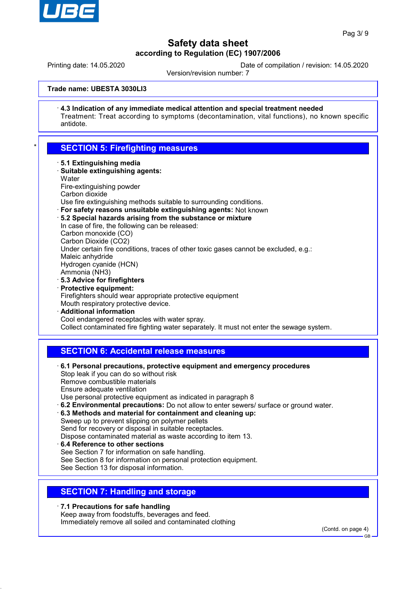

Printing date: 14.05.2020 Date of compilation / revision: 14.05.2020

Version/revision number: 7

### **Trade name: UBESTA 3030LI3**

· **4.3 Indication of any immediate medical attention and special treatment needed** Treatment: Treat according to symptoms (decontamination, vital functions), no known specific antidote.

## **SECTION 5: Firefighting measures**

- · **5.1 Extinguishing media**
- · **Suitable extinguishing agents: Water** Fire-extinguishing powder
- Carbon dioxide

Use fire extinguishing methods suitable to surrounding conditions.

- · **For safety reasons unsuitable extinguishing agents:** Not known
- · **5.2 Special hazards arising from the substance or mixture**
- In case of fire, the following can be released:

Carbon monoxide (CO)

Carbon Dioxide (CO2)

Under certain fire conditions, traces of other toxic gases cannot be excluded, e.g.:

Maleic anhydride Hydrogen cyanide (HCN)

- Ammonia (NH3)
- · **5.3 Advice for firefighters**
- · **Protective equipment:**

Firefighters should wear appropriate protective equipment

- Mouth respiratory protective device.
- · **Additional information** Cool endangered receptacles with water spray. Collect contaminated fire fighting water separately. It must not enter the sewage system.

## **SECTION 6: Accidental release measures**

- · **6.1 Personal precautions, protective equipment and emergency procedures** Stop leak if you can do so without risk Remove combustible materials Ensure adequate ventilation Use personal protective equipment as indicated in paragraph 8 · **6.2 Environmental precautions:** Do not allow to enter sewers/ surface or ground water. · **6.3 Methods and material for containment and cleaning up:** Sweep up to prevent slipping on polymer pellets Send for recovery or disposal in suitable receptacles. Dispose contaminated material as waste according to item 13.
- · **6.4 Reference to other sections** See Section 7 for information on safe handling. See Section 8 for information on personal protection equipment. See Section 13 for disposal information.

## **SECTION 7: Handling and storage**

· **7.1 Precautions for safe handling**

Keep away from foodstuffs, beverages and feed.

Immediately remove all soiled and contaminated clothing

(Contd. on page 4)

GB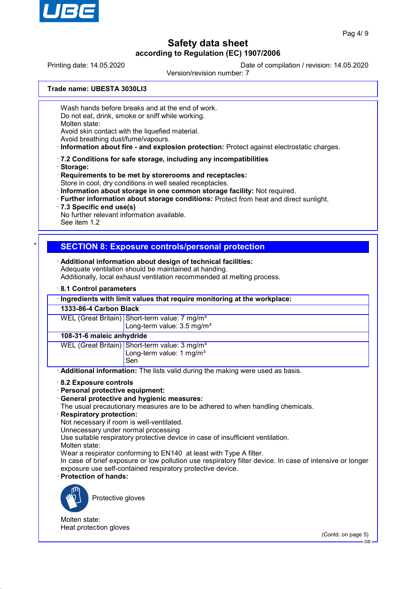

Printing date: 14.05.2020 Date of compilation / revision: 14.05.2020

Version/revision number: 7

**Trade name: UBESTA 3030LI3**

Wash hands before breaks and at the end of work.

Do not eat, drink, smoke or sniff while working.

Molten state:

Avoid skin contact with the liquefied material.

Avoid breathing dust/fume/vapours.

· **Information about fire - and explosion protection:** Protect against electrostatic charges.

- · **7.2 Conditions for safe storage, including any incompatibilities**
- · **Storage:**

· **Requirements to be met by storerooms and receptacles:**

- Store in cool, dry conditions in well sealed receptacles.
- · **Information about storage in one common storage facility:** Not required.
- · **Further information about storage conditions:** Protect from heat and direct sunlight.
- · **7.3 Specific end use(s)**

No further relevant information available.

See item 1.2

## \* **SECTION 8: Exposure controls/personal protection**

· **Additional information about design of technical facilities:** Adequate ventilation should be maintained at handing.

Additionally, local exhaust ventilation recommended at melting process.

· **8.1 Control parameters**

| Ingredients with limit values that require monitoring at the workplace: |  |
|-------------------------------------------------------------------------|--|
|-------------------------------------------------------------------------|--|

**1333-86-4 Carbon Black**

WEL (Great Britain) Short-term value: 7 mg/m<sup>3</sup> Long-term value: 3.5 mg/m<sup>3</sup>

### **108-31-6 maleic anhydride**

WEL (Great Britain) Short-term value: 3 mg/m<sup>3</sup> Long-term value:  $1 \text{ mg/m}^3$ Sen

· **Additional information:** The lists valid during the making were used as basis.

· **8.2 Exposure controls**

· **Personal protective equipment:**

· **General protective and hygienic measures:**

The usual precautionary measures are to be adhered to when handling chemicals.

· **Respiratory protection:**

Not necessary if room is well-ventilated.

Unnecessary under normal processing

Use suitable respiratory protective device in case of insufficient ventilation.

Molten state:

Wear a respirator conforming to EN140 at least with Type A filter.

In case of brief exposure or low pollution use respiratory filter device. In case of intensive or longer exposure use self-contained respiratory protective device.

· **Protection of hands:**



Protective gloves

Molten state: Heat protection gloves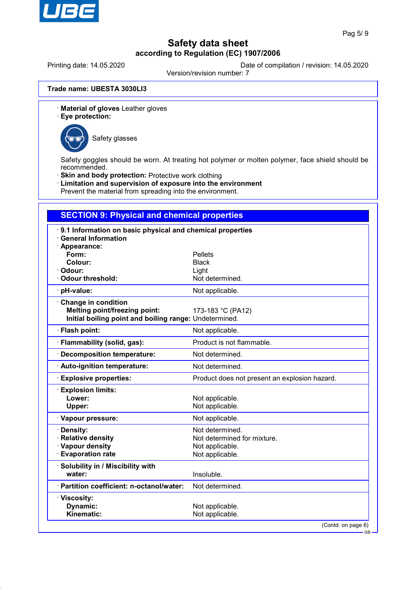

Printing date: 14.05.2020 Date of compilation / revision: 14.05.2020

Version/revision number: 7

**Trade name: UBESTA 3030LI3**

- · **Material of gloves** Leather gloves
- · **Eye protection:**



Safety glasses

Safety goggles should be worn. At treating hot polymer or molten polymer, face shield should be recommended.

- · **Skin and body protection:** Protective work clothing
- · **Limitation and supervision of exposure into the environment**

Prevent the material from spreading into the environment.

## **SECTION 9: Physical and chemical properties**

| Appearance:<br>Form:<br><b>Pellets</b><br>Colour:<br><b>Black</b><br>Odour:<br>Light<br><b>Odour threshold:</b><br>Not determined.<br>Not applicable.<br>· pH-value:<br>Change in condition<br><b>Melting point/freezing point:</b><br>173-183 °C (PA12)<br>Initial boiling point and boiling range: Undetermined.<br>· Flash point:<br>Not applicable.<br>Product is not flammable.<br>Flammability (solid, gas):<br><b>Decomposition temperature:</b><br>Not determined.<br>Not determined.<br>· Auto-ignition temperature:<br><b>Explosive properties:</b><br>Product does not present an explosion hazard.<br><b>Explosion limits:</b><br>Lower:<br>Not applicable.<br><b>Upper:</b><br>Not applicable.<br>Not applicable.<br>· Vapour pressure:<br>Not determined.<br>· Density:<br>· Relative density<br>Not determined for mixture.<br>· Vapour density<br>Not applicable.<br><b>Evaporation rate</b><br>Not applicable.<br>· Solubility in / Miscibility with<br>water:<br>Insoluble.<br>· Partition coefficient: n-octanol/water:<br>Not determined.<br>· Viscosity:<br>Dynamic:<br>Not applicable.<br>Kinematic:<br>Not applicable. | 9.1 Information on basic physical and chemical properties |                            |  |
|-----------------------------------------------------------------------------------------------------------------------------------------------------------------------------------------------------------------------------------------------------------------------------------------------------------------------------------------------------------------------------------------------------------------------------------------------------------------------------------------------------------------------------------------------------------------------------------------------------------------------------------------------------------------------------------------------------------------------------------------------------------------------------------------------------------------------------------------------------------------------------------------------------------------------------------------------------------------------------------------------------------------------------------------------------------------------------------------------------------------------------------------------|-----------------------------------------------------------|----------------------------|--|
|                                                                                                                                                                                                                                                                                                                                                                                                                                                                                                                                                                                                                                                                                                                                                                                                                                                                                                                                                                                                                                                                                                                                               | <b>General Information</b>                                |                            |  |
|                                                                                                                                                                                                                                                                                                                                                                                                                                                                                                                                                                                                                                                                                                                                                                                                                                                                                                                                                                                                                                                                                                                                               |                                                           |                            |  |
|                                                                                                                                                                                                                                                                                                                                                                                                                                                                                                                                                                                                                                                                                                                                                                                                                                                                                                                                                                                                                                                                                                                                               |                                                           |                            |  |
|                                                                                                                                                                                                                                                                                                                                                                                                                                                                                                                                                                                                                                                                                                                                                                                                                                                                                                                                                                                                                                                                                                                                               |                                                           |                            |  |
|                                                                                                                                                                                                                                                                                                                                                                                                                                                                                                                                                                                                                                                                                                                                                                                                                                                                                                                                                                                                                                                                                                                                               |                                                           |                            |  |
|                                                                                                                                                                                                                                                                                                                                                                                                                                                                                                                                                                                                                                                                                                                                                                                                                                                                                                                                                                                                                                                                                                                                               |                                                           |                            |  |
|                                                                                                                                                                                                                                                                                                                                                                                                                                                                                                                                                                                                                                                                                                                                                                                                                                                                                                                                                                                                                                                                                                                                               |                                                           |                            |  |
|                                                                                                                                                                                                                                                                                                                                                                                                                                                                                                                                                                                                                                                                                                                                                                                                                                                                                                                                                                                                                                                                                                                                               |                                                           |                            |  |
|                                                                                                                                                                                                                                                                                                                                                                                                                                                                                                                                                                                                                                                                                                                                                                                                                                                                                                                                                                                                                                                                                                                                               |                                                           |                            |  |
|                                                                                                                                                                                                                                                                                                                                                                                                                                                                                                                                                                                                                                                                                                                                                                                                                                                                                                                                                                                                                                                                                                                                               |                                                           |                            |  |
|                                                                                                                                                                                                                                                                                                                                                                                                                                                                                                                                                                                                                                                                                                                                                                                                                                                                                                                                                                                                                                                                                                                                               |                                                           |                            |  |
|                                                                                                                                                                                                                                                                                                                                                                                                                                                                                                                                                                                                                                                                                                                                                                                                                                                                                                                                                                                                                                                                                                                                               |                                                           |                            |  |
|                                                                                                                                                                                                                                                                                                                                                                                                                                                                                                                                                                                                                                                                                                                                                                                                                                                                                                                                                                                                                                                                                                                                               |                                                           |                            |  |
|                                                                                                                                                                                                                                                                                                                                                                                                                                                                                                                                                                                                                                                                                                                                                                                                                                                                                                                                                                                                                                                                                                                                               |                                                           |                            |  |
|                                                                                                                                                                                                                                                                                                                                                                                                                                                                                                                                                                                                                                                                                                                                                                                                                                                                                                                                                                                                                                                                                                                                               |                                                           |                            |  |
|                                                                                                                                                                                                                                                                                                                                                                                                                                                                                                                                                                                                                                                                                                                                                                                                                                                                                                                                                                                                                                                                                                                                               |                                                           |                            |  |
|                                                                                                                                                                                                                                                                                                                                                                                                                                                                                                                                                                                                                                                                                                                                                                                                                                                                                                                                                                                                                                                                                                                                               |                                                           |                            |  |
|                                                                                                                                                                                                                                                                                                                                                                                                                                                                                                                                                                                                                                                                                                                                                                                                                                                                                                                                                                                                                                                                                                                                               |                                                           |                            |  |
|                                                                                                                                                                                                                                                                                                                                                                                                                                                                                                                                                                                                                                                                                                                                                                                                                                                                                                                                                                                                                                                                                                                                               |                                                           |                            |  |
|                                                                                                                                                                                                                                                                                                                                                                                                                                                                                                                                                                                                                                                                                                                                                                                                                                                                                                                                                                                                                                                                                                                                               |                                                           |                            |  |
|                                                                                                                                                                                                                                                                                                                                                                                                                                                                                                                                                                                                                                                                                                                                                                                                                                                                                                                                                                                                                                                                                                                                               |                                                           |                            |  |
|                                                                                                                                                                                                                                                                                                                                                                                                                                                                                                                                                                                                                                                                                                                                                                                                                                                                                                                                                                                                                                                                                                                                               |                                                           |                            |  |
|                                                                                                                                                                                                                                                                                                                                                                                                                                                                                                                                                                                                                                                                                                                                                                                                                                                                                                                                                                                                                                                                                                                                               |                                                           |                            |  |
|                                                                                                                                                                                                                                                                                                                                                                                                                                                                                                                                                                                                                                                                                                                                                                                                                                                                                                                                                                                                                                                                                                                                               |                                                           |                            |  |
|                                                                                                                                                                                                                                                                                                                                                                                                                                                                                                                                                                                                                                                                                                                                                                                                                                                                                                                                                                                                                                                                                                                                               |                                                           |                            |  |
|                                                                                                                                                                                                                                                                                                                                                                                                                                                                                                                                                                                                                                                                                                                                                                                                                                                                                                                                                                                                                                                                                                                                               |                                                           |                            |  |
|                                                                                                                                                                                                                                                                                                                                                                                                                                                                                                                                                                                                                                                                                                                                                                                                                                                                                                                                                                                                                                                                                                                                               |                                                           |                            |  |
|                                                                                                                                                                                                                                                                                                                                                                                                                                                                                                                                                                                                                                                                                                                                                                                                                                                                                                                                                                                                                                                                                                                                               |                                                           |                            |  |
|                                                                                                                                                                                                                                                                                                                                                                                                                                                                                                                                                                                                                                                                                                                                                                                                                                                                                                                                                                                                                                                                                                                                               |                                                           |                            |  |
|                                                                                                                                                                                                                                                                                                                                                                                                                                                                                                                                                                                                                                                                                                                                                                                                                                                                                                                                                                                                                                                                                                                                               |                                                           | (Contd. on page 6)<br>– GB |  |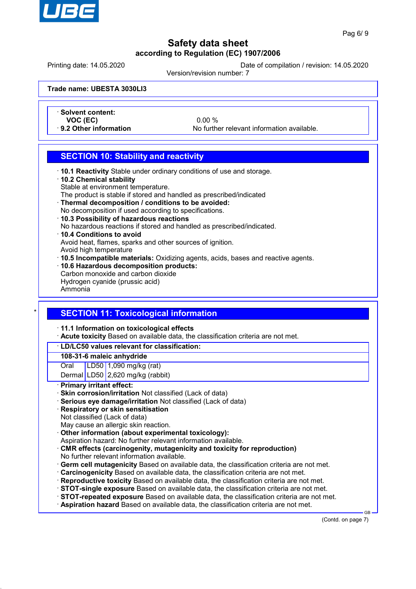

Printing date: 14.05.2020 Date of compilation / revision: 14.05.2020

Version/revision number: 7

**Trade name: UBESTA 3030LI3**

- · **Solvent content:**
- 

**VOC (EC)** 0.00 %<br>**9.2 Other information** 1.9.2 No further information

No further relevant information available.

## **SECTION 10: Stability and reactivity**

- · **10.1 Reactivity** Stable under ordinary conditions of use and storage.
- · **10.2 Chemical stability**
- Stable at environment temperature.
- The product is stable if stored and handled as prescribed/indicated
- · **Thermal decomposition / conditions to be avoided:**
- No decomposition if used according to specifications.
- · **10.3 Possibility of hazardous reactions**
- No hazardous reactions if stored and handled as prescribed/indicated.
- · **10.4 Conditions to avoid** Avoid heat, flames, sparks and other sources of ignition.
- Avoid high temperature
- · **10.5 Incompatible materials:** Oxidizing agents, acids, bases and reactive agents.
- · **10.6 Hazardous decomposition products:** Carbon monoxide and carbon dioxide
- Hydrogen cyanide (prussic acid) Ammonia

# **SECTION 11: Toxicological information**

### · **11.1 Information on toxicological effects**

· **Acute toxicity** Based on available data, the classification criteria are not met.

## · **LD/LC50 values relevant for classification:**

### **108-31-6 maleic anhydride**

Oral LD50 1,090 mg/kg (rat)

Dermal LD50 2,620 mg/kg (rabbit)

## · **Primary irritant effect:**

- · **Skin corrosion/irritation** Not classified (Lack of data)
- · **Serious eye damage/irritation** Not classified (Lack of data)
- · **Respiratory or skin sensitisation**
- Not classified (Lack of data)

May cause an allergic skin reaction.

- · **Other information (about experimental toxicology):**
- Aspiration hazard: No further relevant information available.
- · **CMR effects (carcinogenity, mutagenicity and toxicity for reproduction)** No further relevant information available.
- · **Germ cell mutagenicity** Based on available data, the classification criteria are not met.
- · **Carcinogenicity** Based on available data, the classification criteria are not met.
- · **Reproductive toxicity** Based on available data, the classification criteria are not met.
- · **STOT-single exposure** Based on available data, the classification criteria are not met.
- · **STOT-repeated exposure** Based on available data, the classification criteria are not met.
- · **Aspiration hazard** Based on available data, the classification criteria are not met.

(Contd. on page 7)

GB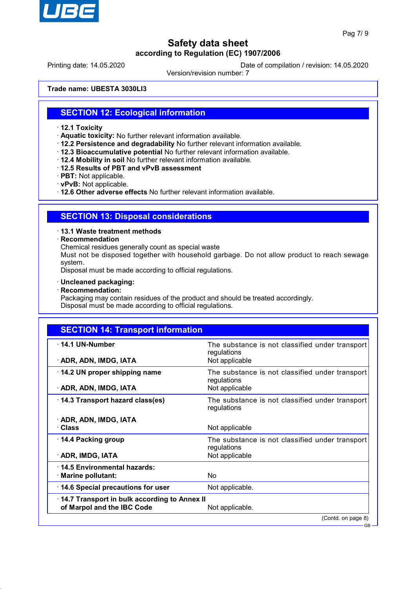

Printing date: 14.05.2020 Date of compilation / revision: 14.05.2020

Version/revision number: 7

**Trade name: UBESTA 3030LI3**

## **SECTION 12: Ecological information**

- · **12.1 Toxicity**
- · **Aquatic toxicity:** No further relevant information available.
- · **12.2 Persistence and degradability** No further relevant information available.
- · **12.3 Bioaccumulative potential** No further relevant information available.
- · **12.4 Mobility in soil** No further relevant information available.
- · **12.5 Results of PBT and vPvB assessment**
- · **PBT:** Not applicable.
- · **vPvB:** Not applicable.

· **12.6 Other adverse effects** No further relevant information available.

## **SECTION 13: Disposal considerations**

· **13.1 Waste treatment methods**

· **Recommendation**

Chemical residues generally count as special waste

Must not be disposed together with household garbage. Do not allow product to reach sewage system.

Disposal must be made according to official regulations.

- · **Uncleaned packaging:**
- · **Recommendation:**

Packaging may contain residues of the product and should be treated accordingly. Disposal must be made according to official regulations.

## **SECTION 14: Transport information**

| $\cdot$ 14.1 UN-Number<br>· ADR, ADN, IMDG, IATA | The substance is not classified under transport<br>regulations<br>Not applicable |  |
|--------------------------------------------------|----------------------------------------------------------------------------------|--|
|                                                  |                                                                                  |  |
| $\cdot$ 14.2 UN proper shipping name             | The substance is not classified under transport<br>regulations                   |  |
| · ADR, ADN, IMDG, IATA                           | Not applicable                                                                   |  |
| 14.3 Transport hazard class(es)                  | The substance is not classified under transport<br>regulations                   |  |
| · ADR, ADN, IMDG, IATA                           |                                                                                  |  |
| · Class                                          | Not applicable                                                                   |  |
| ⋅ 14.4 Packing group                             | The substance is not classified under transport<br>regulations                   |  |
| · ADR, IMDG, IATA                                | Not applicable                                                                   |  |
| $\cdot$ 14.5 Environmental hazards:              |                                                                                  |  |
| · Marine pollutant:                              | No.                                                                              |  |
| 14.6 Special precautions for user                | Not applicable.                                                                  |  |
| 14.7 Transport in bulk according to Annex II     |                                                                                  |  |
| of Marpol and the IBC Code                       | Not applicable.                                                                  |  |
|                                                  | (Contd. on page 8)                                                               |  |
|                                                  |                                                                                  |  |

GB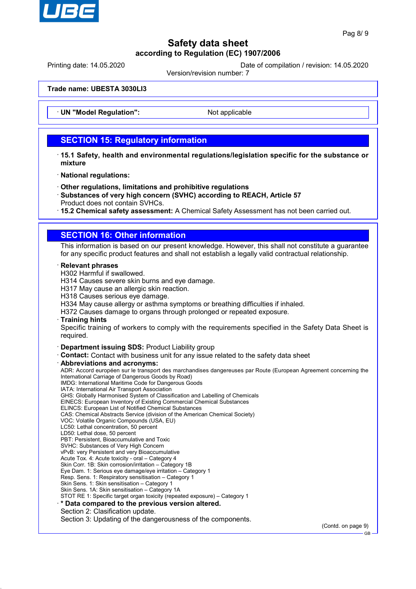

Printing date: 14.05.2020 Date of compilation / revision: 14.05.2020

Version/revision number: 7

### **Trade name: UBESTA 3030LI3**

**UN "Model Regulation":** Not applicable

## **SECTION 15: Regulatory information**

- · **15.1 Safety, health and environmental regulations/legislation specific for the substance or mixture**
- · **National regulations:**
- · **Other regulations, limitations and prohibitive regulations**
- · **Substances of very high concern (SVHC) according to REACH, Article 57** Product does not contain SVHCs.
- · **15.2 Chemical safety assessment:** A Chemical Safety Assessment has not been carried out.

## **SECTION 16: Other information**

This information is based on our present knowledge. However, this shall not constitute a guarantee for any specific product features and shall not establish a legally valid contractual relationship.

### · **Relevant phrases**

H302 Harmful if swallowed.

H314 Causes severe skin burns and eye damage.

- H317 May cause an allergic skin reaction.
- H318 Causes serious eye damage.
- H334 May cause allergy or asthma symptoms or breathing difficulties if inhaled.

H372 Causes damage to organs through prolonged or repeated exposure.

### · **Training hints**

Specific training of workers to comply with the requirements specified in the Safety Data Sheet is required.

- · **Department issuing SDS:** Product Liability group
- · **Contact:** Contact with business unit for any issue related to the safety data sheet

### · **Abbreviations and acronyms:**

ADR: Accord européen sur le transport des marchandises dangereuses par Route (European Agreement concerning the International Carriage of Dangerous Goods by Road) IMDG: International Maritime Code for Dangerous Goods

IATA: International Air Transport Association GHS: Globally Harmonised System of Classification and Labelling of Chemicals

EINECS: European Inventory of Existing Commercial Chemical Substances

ELINCS: European List of Notified Chemical Substances

CAS: Chemical Abstracts Service (division of the American Chemical Society)

- VOC: Volatile Organic Compounds (USA, EU)
- LC50: Lethal concentration, 50 percent
- LD50: Lethal dose, 50 percent
- PBT: Persistent, Bioaccumulative and Toxic
- SVHC: Substances of Very High Concern
- vPvB: very Persistent and very Bioaccumulative
- Acute Tox. 4: Acute toxicity oral Category 4
- Skin Corr. 1B: Skin corrosion/irritation Category 1B
- Eye Dam. 1: Serious eye damage/eye irritation Category 1

Resp. Sens. 1: Respiratory sensitisation – Category 1 Skin Sens. 1: Skin sensitisation – Category 1

Skin Sens. 1A: Skin sensitisation – Category 1A

STOT RE 1: Specific target organ toxicity (repeated exposure) – Category 1

### · **\* Data compared to the previous version altered.**

Section 2: Clasification update.

Section 3: Updating of the dangerousness of the components.

(Contd. on page 9)

GB